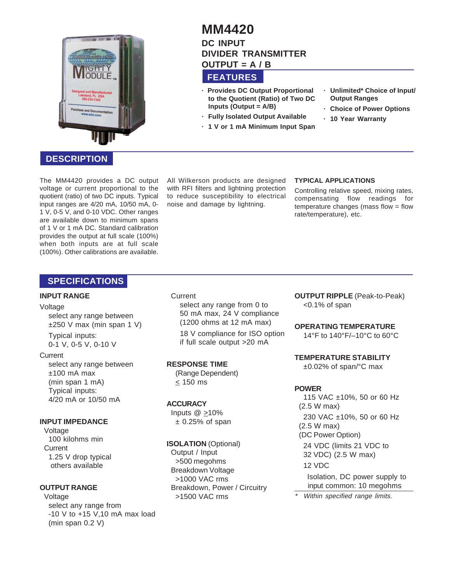

# **DESCRIPTION**

The MM4420 provides a DC output voltage or current proportional to the quotient (ratio) of two DC inputs. Typical input ranges are 4/20 mA, 10/50 mA, 0- 1 V, 0-5 V, and 0-10 VDC. Other ranges are available down to minimum spans of 1 V or 1 mA DC. Standard calibration provides the output at full scale (100%) when both inputs are at full scale (100%). Other calibrations are available.

All Wilkerson products are designed with RFI filters and lightning protection to reduce susceptibility to electrical noise and damage by lightning.

### **TYPICAL APPLICATIONS**

Controlling relative speed, mixing rates, compensating flow readings for temperature changes (mass flow = flow rate/temperature), etc.

## **SPECIFICATIONS**

### **INPUT RANGE**

#### Voltage

select any range between  $±250$  V max (min span 1 V)

Typical inputs: 0-1 V, 0-5 V, 0-10 V

### **Current**

select any range between  $±100$  mA max (min span 1 mA) Typical inputs: 4/20 mA or 10/50 mA

### **INPUT IMPEDANCE**

Voltage 100 kilohms min **Current** 1.25 V drop typical others available

### **OUTPUT RANGE**

Voltage select any range from -10 V to +15 V,10 mA max load (min span 0.2 V)

**Current** select any range from 0 to 50 mA max, 24 V compliance (1200 ohms at 12 mA max) 18 V compliance for ISO option

if full scale output >20 mA

### **RESPONSE TIME**

(Range Dependent) < 150 ms

### **ACCURACY**

Inputs  $@>10\%$  $± 0.25%$  of span

### **ISOLATION** (Optional)

Output / Input >500 megohms Breakdown Voltage >1000 VAC rms Breakdown, Power / Circuitry >1500 VAC rms

**OUTPUT RIPPLE** (Peak-to-Peak) <0.1% of span

### **OPERATING TEMPERATURE**

14°F to 140°F/–10°C to 60°C

#### **TEMPERATURE STABILITY**

±0.02% of span/°C max

### **POWER**

115 VAC ±10%, 50 or 60 Hz (2.5 W max) 230 VAC ±10%, 50 or 60 Hz (2.5 W max) (DC Power Option) 24 VDC (limits 21 VDC to 32 VDC) (2.5 W max) 12 VDC Isolation, DC power supply to input common: 10 megohms

\*Within specified range limits.

# **MM4420 DC INPUT DIVIDER TRANSMITTER OUTPUT = A / B**

# **FEATURES**

- **· Provides DC Output Proportional to the Quotient (Ratio) of Two DC Inputs (Output = A/B)**
- **· Fully Isolated Output Available**
- **· 1 V or 1 mA Minimum Input Span**
- **· Unlimited\* Choice of Input/ Output Ranges**
- **· Choice of Power Options**
- **· 10 Year Warranty**